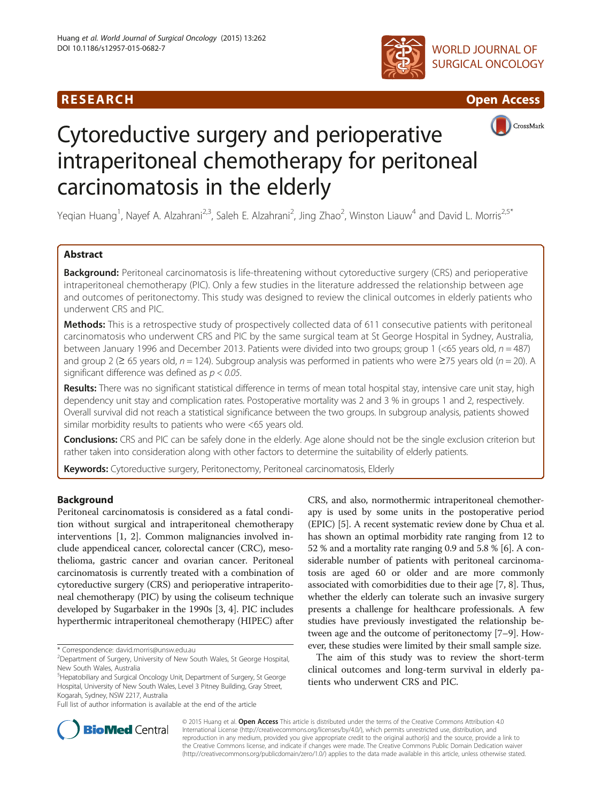





CrossMark

# Cytoreductive surgery and perioperative intraperitoneal chemotherapy for peritoneal carcinomatosis in the elderly

Yeqian Huang<sup>1</sup>, Nayef A. Alzahrani<sup>2,3</sup>, Saleh E. Alzahrani<sup>2</sup>, Jing Zhao<sup>2</sup>, Winston Liauw<sup>4</sup> and David L. Morris<sup>2,5\*</sup>

# Abstract

Background: Peritoneal carcinomatosis is life-threatening without cytoreductive surgery (CRS) and perioperative intraperitoneal chemotherapy (PIC). Only a few studies in the literature addressed the relationship between age and outcomes of peritonectomy. This study was designed to review the clinical outcomes in elderly patients who underwent CRS and PIC.

Methods: This is a retrospective study of prospectively collected data of 611 consecutive patients with peritoneal carcinomatosis who underwent CRS and PIC by the same surgical team at St George Hospital in Sydney, Australia, between January 1996 and December 2013. Patients were divided into two groups; group 1 (<65 years old,  $n = 487$ ) and group 2 ( $\geq$  65 years old, n = 124). Subgroup analysis was performed in patients who were  $\geq$ 75 years old (n = 20). A significant difference was defined as  $p < 0.05$ .

Results: There was no significant statistical difference in terms of mean total hospital stay, intensive care unit stay, high dependency unit stay and complication rates. Postoperative mortality was 2 and 3 % in groups 1 and 2, respectively. Overall survival did not reach a statistical significance between the two groups. In subgroup analysis, patients showed similar morbidity results to patients who were <65 years old.

Conclusions: CRS and PIC can be safely done in the elderly. Age alone should not be the single exclusion criterion but rather taken into consideration along with other factors to determine the suitability of elderly patients.

Keywords: Cytoreductive surgery, Peritonectomy, Peritoneal carcinomatosis, Elderly

# Background

Peritoneal carcinomatosis is considered as a fatal condition without surgical and intraperitoneal chemotherapy interventions [\[1, 2](#page-6-0)]. Common malignancies involved include appendiceal cancer, colorectal cancer (CRC), mesothelioma, gastric cancer and ovarian cancer. Peritoneal carcinomatosis is currently treated with a combination of cytoreductive surgery (CRS) and perioperative intraperitoneal chemotherapy (PIC) by using the coliseum technique developed by Sugarbaker in the 1990s [\[3](#page-6-0), [4](#page-6-0)]. PIC includes hyperthermic intraperitoneal chemotherapy (HIPEC) after

Full list of author information is available at the end of the article

CRS, and also, normothermic intraperitoneal chemotherapy is used by some units in the postoperative period (EPIC) [\[5](#page-6-0)]. A recent systematic review done by Chua et al. has shown an optimal morbidity rate ranging from 12 to 52 % and a mortality rate ranging 0.9 and 5.8 % [[6](#page-6-0)]. A considerable number of patients with peritoneal carcinomatosis are aged 60 or older and are more commonly associated with comorbidities due to their age [[7](#page-6-0), [8\]](#page-6-0). Thus, whether the elderly can tolerate such an invasive surgery presents a challenge for healthcare professionals. A few studies have previously investigated the relationship between age and the outcome of peritonectomy [\[7](#page-6-0)–[9\]](#page-6-0). However, these studies were limited by their small sample size.

The aim of this study was to review the short-term clinical outcomes and long-term survival in elderly patients who underwent CRS and PIC.



© 2015 Huang et al. Open Access This article is distributed under the terms of the Creative Commons Attribution 4.0 International License [\(http://creativecommons.org/licenses/by/4.0/](http://creativecommons.org/licenses/by/4.0/)), which permits unrestricted use, distribution, and reproduction in any medium, provided you give appropriate credit to the original author(s) and the source, provide a link to the Creative Commons license, and indicate if changes were made. The Creative Commons Public Domain Dedication waiver [\(http://creativecommons.org/publicdomain/zero/1.0/](http://creativecommons.org/publicdomain/zero/1.0/)) applies to the data made available in this article, unless otherwise stated.

<sup>\*</sup> Correspondence: [david.morris@unsw.edu.au](mailto:david.morris@unsw.edu.au) <sup>2</sup>

<sup>&</sup>lt;sup>2</sup>Department of Surgery, University of New South Wales, St George Hospital, New South Wales, Australia

<sup>&</sup>lt;sup>5</sup>Hepatobiliary and Surgical Oncology Unit, Department of Surgery, St George Hospital, University of New South Wales, Level 3 Pitney Building, Gray Street, Kogarah, Sydney, NSW 2217, Australia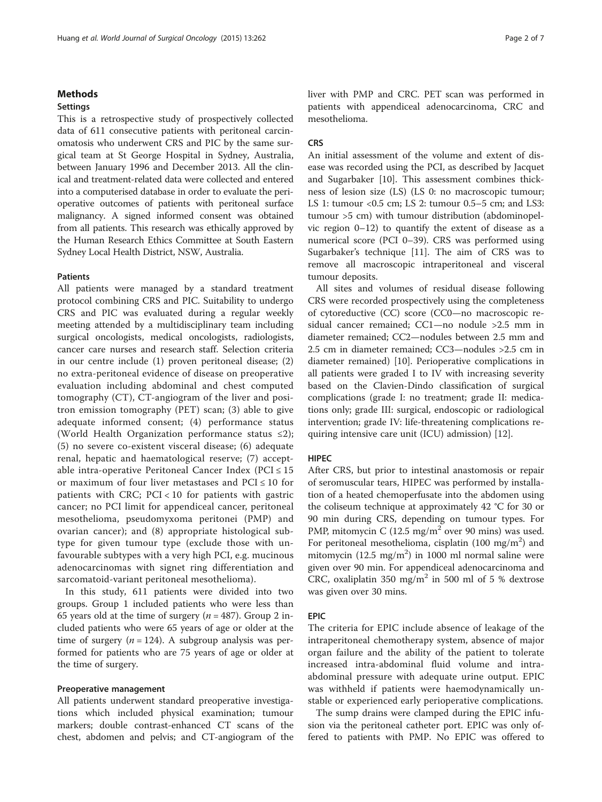#### **Methods**

## Settings

This is a retrospective study of prospectively collected data of 611 consecutive patients with peritoneal carcinomatosis who underwent CRS and PIC by the same surgical team at St George Hospital in Sydney, Australia, between January 1996 and December 2013. All the clinical and treatment-related data were collected and entered into a computerised database in order to evaluate the perioperative outcomes of patients with peritoneal surface malignancy. A signed informed consent was obtained from all patients. This research was ethically approved by the Human Research Ethics Committee at South Eastern Sydney Local Health District, NSW, Australia.

#### **Patients**

All patients were managed by a standard treatment protocol combining CRS and PIC. Suitability to undergo CRS and PIC was evaluated during a regular weekly meeting attended by a multidisciplinary team including surgical oncologists, medical oncologists, radiologists, cancer care nurses and research staff. Selection criteria in our centre include (1) proven peritoneal disease; (2) no extra-peritoneal evidence of disease on preoperative evaluation including abdominal and chest computed tomography (CT), CT-angiogram of the liver and positron emission tomography (PET) scan; (3) able to give adequate informed consent; (4) performance status (World Health Organization performance status ≤2); (5) no severe co-existent visceral disease; (6) adequate renal, hepatic and haematological reserve; (7) acceptable intra-operative Peritoneal Cancer Index ( $PCI \le 15$ or maximum of four liver metastases and  $PCI \le 10$  for patients with CRC;  $PCI < 10$  for patients with gastric cancer; no PCI limit for appendiceal cancer, peritoneal mesothelioma, pseudomyxoma peritonei (PMP) and ovarian cancer); and (8) appropriate histological subtype for given tumour type (exclude those with unfavourable subtypes with a very high PCI, e.g. mucinous adenocarcinomas with signet ring differentiation and sarcomatoid-variant peritoneal mesothelioma).

In this study, 611 patients were divided into two groups. Group 1 included patients who were less than 65 years old at the time of surgery ( $n = 487$ ). Group 2 included patients who were 65 years of age or older at the time of surgery ( $n = 124$ ). A subgroup analysis was performed for patients who are 75 years of age or older at the time of surgery.

## Preoperative management

All patients underwent standard preoperative investigations which included physical examination; tumour markers; double contrast-enhanced CT scans of the chest, abdomen and pelvis; and CT-angiogram of the liver with PMP and CRC. PET scan was performed in patients with appendiceal adenocarcinoma, CRC and mesothelioma.

### **CRS**

An initial assessment of the volume and extent of disease was recorded using the PCI, as described by Jacquet and Sugarbaker [\[10\]](#page-6-0). This assessment combines thickness of lesion size (LS) (LS 0: no macroscopic tumour; LS 1: tumour <0.5 cm; LS 2: tumour 0.5–5 cm; and LS3: tumour >5 cm) with tumour distribution (abdominopelvic region 0–12) to quantify the extent of disease as a numerical score (PCI 0–39). CRS was performed using Sugarbaker's technique [\[11\]](#page-6-0). The aim of CRS was to remove all macroscopic intraperitoneal and visceral tumour deposits.

All sites and volumes of residual disease following CRS were recorded prospectively using the completeness of cytoreductive (CC) score (CC0—no macroscopic residual cancer remained; CC1—no nodule >2.5 mm in diameter remained; CC2—nodules between 2.5 mm and 2.5 cm in diameter remained; CC3—nodules >2.5 cm in diameter remained) [\[10\]](#page-6-0). Perioperative complications in all patients were graded I to IV with increasing severity based on the Clavien-Dindo classification of surgical complications (grade I: no treatment; grade II: medications only; grade III: surgical, endoscopic or radiological intervention; grade IV: life-threatening complications requiring intensive care unit (ICU) admission) [[12](#page-6-0)].

#### HIPEC

After CRS, but prior to intestinal anastomosis or repair of seromuscular tears, HIPEC was performed by installation of a heated chemoperfusate into the abdomen using the coliseum technique at approximately 42 °C for 30 or 90 min during CRS, depending on tumour types. For PMP, mitomycin C  $(12.5 \text{ mg/m}^2)$  over 90 mins) was used. For peritoneal mesothelioma, cisplatin  $(100 \text{ mg/m}^2)$  and mitomycin (12.5 mg/m<sup>2</sup>) in 1000 ml normal saline were given over 90 min. For appendiceal adenocarcinoma and CRC, oxaliplatin 350 mg/m<sup>2</sup> in 500 ml of 5 % dextrose was given over 30 mins.

#### EPIC

The criteria for EPIC include absence of leakage of the intraperitoneal chemotherapy system, absence of major organ failure and the ability of the patient to tolerate increased intra-abdominal fluid volume and intraabdominal pressure with adequate urine output. EPIC was withheld if patients were haemodynamically unstable or experienced early perioperative complications.

The sump drains were clamped during the EPIC infusion via the peritoneal catheter port. EPIC was only offered to patients with PMP. No EPIC was offered to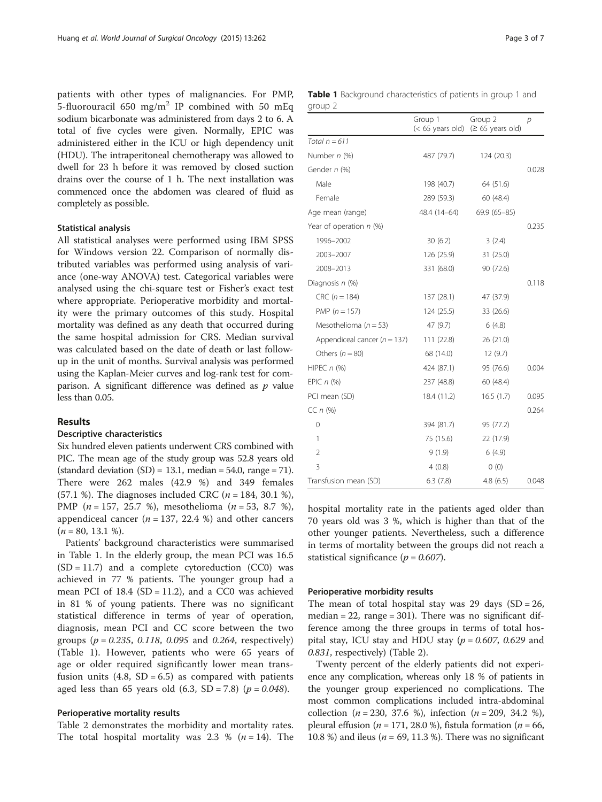patients with other types of malignancies. For PMP, 5-fluorouracil 650 mg/m<sup>2</sup> IP combined with 50 mEq sodium bicarbonate was administered from days 2 to 6. A total of five cycles were given. Normally, EPIC was administered either in the ICU or high dependency unit (HDU). The intraperitoneal chemotherapy was allowed to dwell for 23 h before it was removed by closed suction drains over the course of 1 h. The next installation was commenced once the abdomen was cleared of fluid as completely as possible.

## Statistical analysis

All statistical analyses were performed using IBM SPSS for Windows version 22. Comparison of normally distributed variables was performed using analysis of variance (one-way ANOVA) test. Categorical variables were analysed using the chi-square test or Fisher's exact test where appropriate. Perioperative morbidity and mortality were the primary outcomes of this study. Hospital mortality was defined as any death that occurred during the same hospital admission for CRS. Median survival was calculated based on the date of death or last followup in the unit of months. Survival analysis was performed using the Kaplan-Meier curves and log-rank test for comparison. A significant difference was defined as  $p$  value less than 0.05.

## Results

### Descriptive characteristics

Six hundred eleven patients underwent CRS combined with PIC. The mean age of the study group was 52.8 years old (standard deviation  $(SD) = 13.1$ , median = 54.0, range = 71). There were 262 males (42.9 %) and 349 females (57.1 %). The diagnoses included CRC ( $n = 184, 30.1$  %), PMP ( $n = 157, 25.7$  %), mesothelioma ( $n = 53, 8.7$  %), appendiceal cancer ( $n = 137, 22.4$  %) and other cancers  $(n = 80, 13.1 \%)$ .

Patients' background characteristics were summarised in Table 1. In the elderly group, the mean PCI was 16.5  $(SD = 11.7)$  and a complete cytoreduction  $(CC0)$  was achieved in 77 % patients. The younger group had a mean PCI of  $18.4$  (SD =  $11.2$ ), and a CC0 was achieved in 81 % of young patients. There was no significant statistical difference in terms of year of operation, diagnosis, mean PCI and CC score between the two groups ( $p = 0.235, 0.118, 0.095$  and 0.264, respectively) (Table 1). However, patients who were 65 years of age or older required significantly lower mean transfusion units  $(4.8, SD = 6.5)$  as compared with patients aged less than 65 years old  $(6.3, SD = 7.8)$   $(p = 0.048)$ .

#### Perioperative mortality results

Table [2](#page-3-0) demonstrates the morbidity and mortality rates. The total hospital mortality was 2.3 % ( $n = 14$ ). The

|  | Page 3 of 7 |  |  |  |
|--|-------------|--|--|--|
|--|-------------|--|--|--|

|         | <b>Table 1</b> Background characteristics of patients in group 1 and |  |  |  |
|---------|----------------------------------------------------------------------|--|--|--|
| group 2 |                                                                      |  |  |  |

|                                  | Group 1      | Group 2<br>$(< 65$ years old) $( \ge 65$ years old) | р     |
|----------------------------------|--------------|-----------------------------------------------------|-------|
| Total $n = 611$                  |              |                                                     |       |
| Number n (%)                     | 487 (79.7)   | 124 (20.3)                                          |       |
| Gender n (%)                     |              |                                                     | 0.028 |
| Male                             | 198 (40.7)   | 64 (51.6)                                           |       |
| Female                           | 289 (59.3)   | 60 (48.4)                                           |       |
| Age mean (range)                 | 48.4 (14–64) | 69.9 (65-85)                                        |       |
| Year of operation n (%)          |              |                                                     | 0.235 |
| 1996-2002                        | 30(6.2)      | 3(2.4)                                              |       |
| 2003-2007                        | 126 (25.9)   | 31 (25.0)                                           |       |
| 2008-2013                        | 331 (68.0)   | 90 (72.6)                                           |       |
| Diagnosis n (%)                  |              |                                                     | 0.118 |
| $CRC (n = 184)$                  | 137 (28.1)   | 47 (37.9)                                           |       |
| PMP $(n = 157)$                  | 124(25.5)    | 33 (26.6)                                           |       |
| Mesothelioma ( $n = 53$ )        | 47 (9.7)     | 6(4.8)                                              |       |
| Appendiceal cancer ( $n = 137$ ) | 111(22.8)    | 26 (21.0)                                           |       |
| Others $(n = 80)$                | 68 (14.0)    | 12(9.7)                                             |       |
| HIPEC $n$ (%)                    | 424 (87.1)   | 95 (76.6)                                           | 0.004 |
| EPIC $n$ $%$                     | 237 (48.8)   | 60 (48.4)                                           |       |
| PCI mean (SD)                    | 18.4 (11.2)  | 16.5(1.7)                                           | 0.095 |
| $CC n$ (%)                       |              |                                                     | 0.264 |
| $\overline{0}$                   | 394 (81.7)   | 95 (77.2)                                           |       |
| 1                                | 75 (15.6)    | 22 (17.9)                                           |       |
| 2                                | 9(1.9)       | 6(4.9)                                              |       |
| 3                                | 4(0.8)       | 0(0)                                                |       |
| Transfusion mean (SD)            | 6.3(7.8)     | 4.8(6.5)                                            | 0.048 |

hospital mortality rate in the patients aged older than 70 years old was 3 %, which is higher than that of the other younger patients. Nevertheless, such a difference in terms of mortality between the groups did not reach a statistical significance ( $p = 0.607$ ).

#### Perioperative morbidity results

The mean of total hospital stay was 29 days  $(SD = 26,$ median  $= 22$ , range  $= 301$ ). There was no significant difference among the three groups in terms of total hospital stay, ICU stay and HDU stay ( $p = 0.607$ , 0.629 and 0.831, respectively) (Table [2](#page-3-0)).

Twenty percent of the elderly patients did not experience any complication, whereas only 18 % of patients in the younger group experienced no complications. The most common complications included intra-abdominal collection  $(n = 230, 37.6 \%)$ , infection  $(n = 209, 34.2 \%)$ , pleural effusion ( $n = 171, 28.0$  %), fistula formation ( $n = 66$ , 10.8 %) and ileus ( $n = 69$ , 11.3 %). There was no significant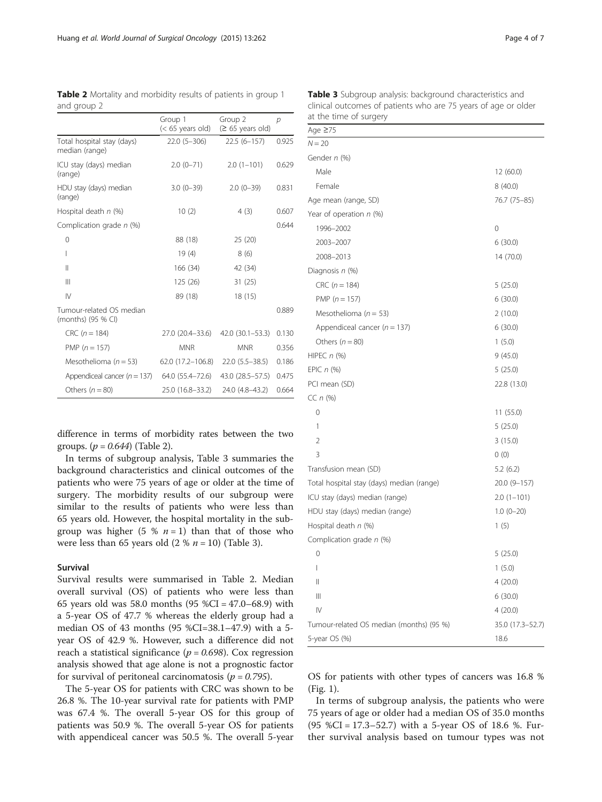|                                                | Group 1<br>$(< 65$ years old) | Group 2<br>$(≥ 65 \text{ years old})$ | $\mathcal{P}$ |
|------------------------------------------------|-------------------------------|---------------------------------------|---------------|
| Total hospital stay (days)<br>median (range)   | $22.0(5-306)$                 | $22.5(6 - 157)$                       | 0.925         |
| ICU stay (days) median<br>(range)              | $2.0(0-71)$                   | $2.0(1-101)$                          | 0.629         |
| HDU stay (days) median<br>(range)              | $3.0(0-39)$                   | $2.0(0-39)$                           | 0.831         |
| Hospital death n (%)                           | 10(2)                         | 4(3)                                  | 0.607         |
| Complication grade n (%)                       |                               |                                       | 0.644         |
| 0                                              | 88 (18)                       | 25 (20)                               |               |
| I                                              | 19(4)                         | 8(6)                                  |               |
| $\mathsf{II}$                                  | 166 (34)                      | 42 (34)                               |               |
| $\mathsf{III}$                                 | 125 (26)                      | 31(25)                                |               |
| $\mathsf{IV}$                                  | 89 (18)                       | 18 (15)                               |               |
| Tumour-related OS median<br>(months) (95 % CI) |                               |                                       | 0.889         |
| $CRC (n = 184)$                                | 27.0 (20.4-33.6)              | 42.0 (30.1-53.3)                      | 0.130         |
| PMP $(n = 157)$                                | <b>MNR</b>                    | <b>MNR</b>                            | 0.356         |
| Mesothelioma ( $n = 53$ )                      | 62.0 (17.2–106.8)             | $22.0(5.5-38.5)$                      | 0.186         |
| Appendiceal cancer ( $n = 137$ )               | 64.0 (55.4–72.6)              | 43.0 (28.5 - 57.5)                    | 0.475         |
| Others $(n = 80)$                              | 25.0 (16.8-33.2)              | 24.0 (4.8–43.2)                       | 0.664         |

<span id="page-3-0"></span>Table 2 Mortality and morbidity results of patients in group 1 and group 2

difference in terms of morbidity rates between the two groups.  $(p = 0.644)$  (Table 2).

In terms of subgroup analysis, Table 3 summaries the background characteristics and clinical outcomes of the patients who were 75 years of age or older at the time of surgery. The morbidity results of our subgroup were similar to the results of patients who were less than 65 years old. However, the hospital mortality in the subgroup was higher  $(5 \frac{1}{2} \pi - 1)$  than that of those who were less than 65 years old  $(2 % n = 10)$  (Table 3).

## Survival

Survival results were summarised in Table 2. Median overall survival (OS) of patients who were less than 65 years old was 58.0 months (95 %CI = 47.0–68.9) with a 5-year OS of 47.7 % whereas the elderly group had a median OS of 43 months (95 %CI=38.1–47.9) with a 5 year OS of 42.9 %. However, such a difference did not reach a statistical significance ( $p = 0.698$ ). Cox regression analysis showed that age alone is not a prognostic factor for survival of peritoneal carcinomatosis ( $p = 0.795$ ).

The 5-year OS for patients with CRC was shown to be 26.8 %. The 10-year survival rate for patients with PMP was 67.4 %. The overall 5-year OS for this group of patients was 50.9 %. The overall 5-year OS for patients with appendiceal cancer was 50.5 %. The overall 5-year

| Page 4 of |  |
|-----------|--|
|-----------|--|

| at the time of surgery                    |                  |
|-------------------------------------------|------------------|
| Age $\geq 75$                             |                  |
| N = 20                                    |                  |
| Gender n (%)                              |                  |
| Male                                      | 12 (60.0)        |
| Female                                    | 8 (40.0)         |
| Age mean (range, SD)                      | 76.7 (75-85)     |
| Year of operation n (%)                   |                  |
| 1996-2002                                 | 0                |
| 2003-2007                                 | 6(30.0)          |
| 2008-2013                                 | 14 (70.0)        |
| Diagnosis n (%)                           |                  |
| $CRC (n = 184)$                           | 5(25.0)          |
| PMP $(n = 157)$                           | 6(30.0)          |
| Mesothelioma ( $n = 53$ )                 | 2(10.0)          |
| Appendiceal cancer ( $n = 137$ )          | 6(30.0)          |
| Others $(n = 80)$                         | 1(5.0)           |
| HIPEC $n$ (%)                             | 9(45.0)          |
| EPIC $n$ (%)                              | 5(25.0)          |
| PCI mean (SD)                             | 22.8 (13.0)      |
| CC $n$ (%)                                |                  |
| 0                                         | 11(55.0)         |
| 1                                         | 5(25.0)          |
| 2                                         | 3(15.0)          |
| 3                                         | 0(0)             |
| Transfusion mean (SD)                     | 5.2(6.2)         |
| Total hospital stay (days) median (range) | 20.0 (9-157)     |
| ICU stay (days) median (range)            | $2.0(1-101)$     |
| HDU stay (days) median (range)            | $1.0(0-20)$      |
| Hospital death n (%)                      | 1(5)             |
| Complication grade n (%)                  |                  |
| 0                                         | 5(25.0)          |
| $\overline{1}$                            | 1(5.0)           |
| Ш                                         | 4(20.0)          |
| $\begin{array}{c} \hline \end{array}$     | 6(30.0)          |
| $\mathsf{IV}$                             | 4(20.0)          |
| Tumour-related OS median (months) (95 %)  | 35.0 (17.3-52.7) |
| 5-year OS (%)                             | 18.6             |

Table 3 Subgroup analysis: background characteristics and clinical outcomes of patients who are 75 years of age or older

OS for patients with other types of cancers was 16.8 % (Fig. [1](#page-4-0)).

In terms of subgroup analysis, the patients who were 75 years of age or older had a median OS of 35.0 months (95 %CI = 17.3–52.7) with a 5-year OS of 18.6 %. Further survival analysis based on tumour types was not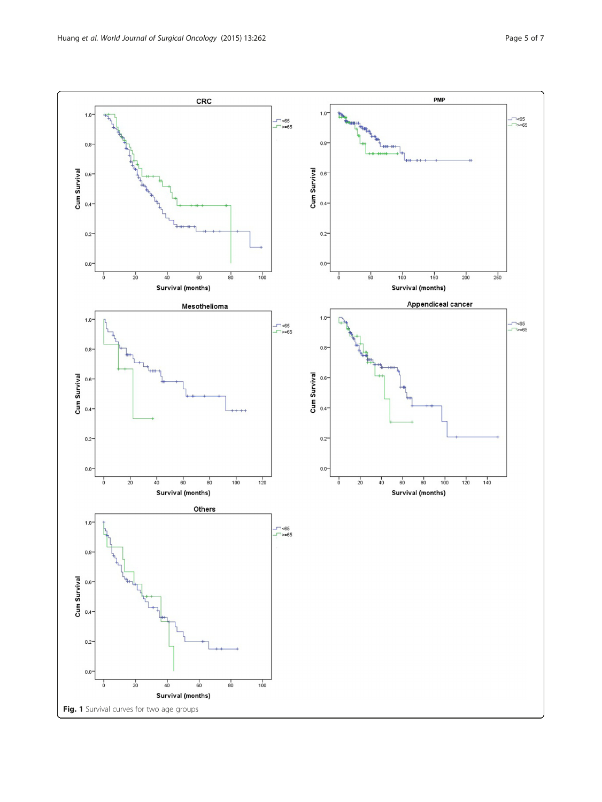<span id="page-4-0"></span>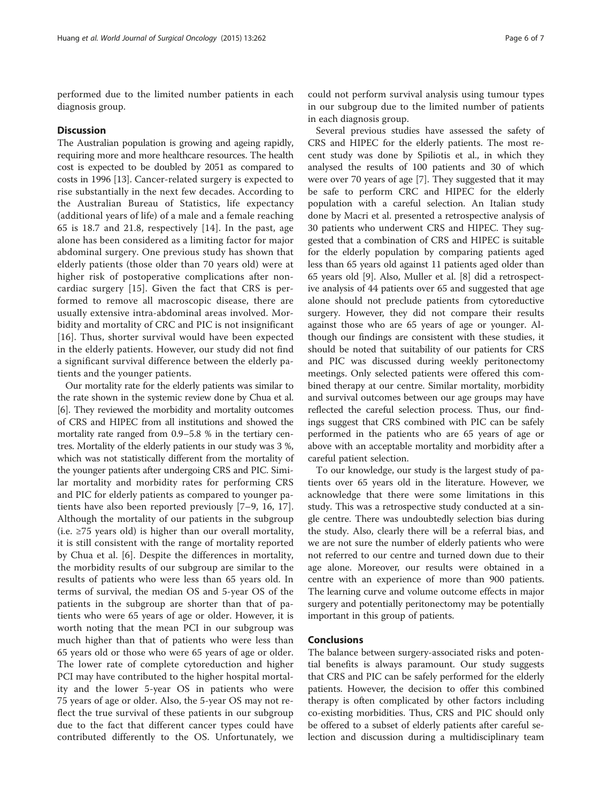performed due to the limited number patients in each diagnosis group.

## **Discussion**

The Australian population is growing and ageing rapidly, requiring more and more healthcare resources. The health cost is expected to be doubled by 2051 as compared to costs in 1996 [[13](#page-6-0)]. Cancer-related surgery is expected to rise substantially in the next few decades. According to the Australian Bureau of Statistics, life expectancy (additional years of life) of a male and a female reaching 65 is 18.7 and 21.8, respectively [[14\]](#page-6-0). In the past, age alone has been considered as a limiting factor for major abdominal surgery. One previous study has shown that elderly patients (those older than 70 years old) were at higher risk of postoperative complications after noncardiac surgery [\[15](#page-6-0)]. Given the fact that CRS is performed to remove all macroscopic disease, there are usually extensive intra-abdominal areas involved. Morbidity and mortality of CRC and PIC is not insignificant [[16](#page-6-0)]. Thus, shorter survival would have been expected in the elderly patients. However, our study did not find a significant survival difference between the elderly patients and the younger patients.

Our mortality rate for the elderly patients was similar to the rate shown in the systemic review done by Chua et al. [[6\]](#page-6-0). They reviewed the morbidity and mortality outcomes of CRS and HIPEC from all institutions and showed the mortality rate ranged from 0.9–5.8 % in the tertiary centres. Mortality of the elderly patients in our study was 3 %, which was not statistically different from the mortality of the younger patients after undergoing CRS and PIC. Similar mortality and morbidity rates for performing CRS and PIC for elderly patients as compared to younger patients have also been reported previously [\[7](#page-6-0)–[9](#page-6-0), [16](#page-6-0), [17](#page-6-0)]. Although the mortality of our patients in the subgroup (i.e.  $\geq$ 75 years old) is higher than our overall mortality, it is still consistent with the range of mortality reported by Chua et al. [[6\]](#page-6-0). Despite the differences in mortality, the morbidity results of our subgroup are similar to the results of patients who were less than 65 years old. In terms of survival, the median OS and 5-year OS of the patients in the subgroup are shorter than that of patients who were 65 years of age or older. However, it is worth noting that the mean PCI in our subgroup was much higher than that of patients who were less than 65 years old or those who were 65 years of age or older. The lower rate of complete cytoreduction and higher PCI may have contributed to the higher hospital mortality and the lower 5-year OS in patients who were 75 years of age or older. Also, the 5-year OS may not reflect the true survival of these patients in our subgroup due to the fact that different cancer types could have contributed differently to the OS. Unfortunately, we

could not perform survival analysis using tumour types in our subgroup due to the limited number of patients in each diagnosis group.

Several previous studies have assessed the safety of CRS and HIPEC for the elderly patients. The most recent study was done by Spiliotis et al., in which they analysed the results of 100 patients and 30 of which were over 70 years of age [[7\]](#page-6-0). They suggested that it may be safe to perform CRC and HIPEC for the elderly population with a careful selection. An Italian study done by Macri et al. presented a retrospective analysis of 30 patients who underwent CRS and HIPEC. They suggested that a combination of CRS and HIPEC is suitable for the elderly population by comparing patients aged less than 65 years old against 11 patients aged older than 65 years old [[9\]](#page-6-0). Also, Muller et al. [[8\]](#page-6-0) did a retrospective analysis of 44 patients over 65 and suggested that age alone should not preclude patients from cytoreductive surgery. However, they did not compare their results against those who are 65 years of age or younger. Although our findings are consistent with these studies, it should be noted that suitability of our patients for CRS and PIC was discussed during weekly peritonectomy meetings. Only selected patients were offered this combined therapy at our centre. Similar mortality, morbidity and survival outcomes between our age groups may have reflected the careful selection process. Thus, our findings suggest that CRS combined with PIC can be safely performed in the patients who are 65 years of age or above with an acceptable mortality and morbidity after a careful patient selection.

To our knowledge, our study is the largest study of patients over 65 years old in the literature. However, we acknowledge that there were some limitations in this study. This was a retrospective study conducted at a single centre. There was undoubtedly selection bias during the study. Also, clearly there will be a referral bias, and we are not sure the number of elderly patients who were not referred to our centre and turned down due to their age alone. Moreover, our results were obtained in a centre with an experience of more than 900 patients. The learning curve and volume outcome effects in major surgery and potentially peritonectomy may be potentially important in this group of patients.

## Conclusions

The balance between surgery-associated risks and potential benefits is always paramount. Our study suggests that CRS and PIC can be safely performed for the elderly patients. However, the decision to offer this combined therapy is often complicated by other factors including co-existing morbidities. Thus, CRS and PIC should only be offered to a subset of elderly patients after careful selection and discussion during a multidisciplinary team